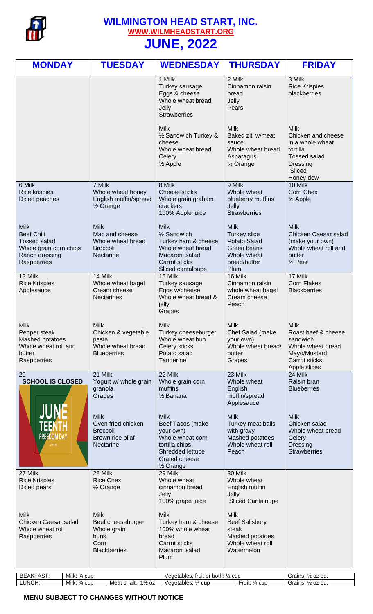

## **WILMINGTON HEAD START, INC. [WWW.WILMHEADSTART.ORG](http://www.wilmheadstart.org/) JUNE, 2022**

|                                                                                                                                                                                                          | 1 Milk<br>Turkey sausage<br>Eggs & cheese                                                                                                          | 2 Milk<br>Cinnamon raisin                                                                                | 3 Milk                                                                                                                             |
|----------------------------------------------------------------------------------------------------------------------------------------------------------------------------------------------------------|----------------------------------------------------------------------------------------------------------------------------------------------------|----------------------------------------------------------------------------------------------------------|------------------------------------------------------------------------------------------------------------------------------------|
|                                                                                                                                                                                                          | Whole wheat bread<br>Jelly<br><b>Strawberries</b>                                                                                                  | bread<br>Jelly<br>Pears                                                                                  | <b>Rice Krispies</b><br>blackberries                                                                                               |
|                                                                                                                                                                                                          | <b>Milk</b><br>1/2 Sandwich Turkey &<br>cheese<br>Whole wheat bread<br>Celery<br>$\frac{1}{2}$ Apple                                               | <b>Milk</b><br>Baked ziti w/meat<br>sauce<br>Whole wheat bread<br>Asparagus<br>1/ <sub>2</sub> Orange    | <b>Milk</b><br>Chicken and cheese<br>in a whole wheat<br>tortilla<br><b>Tossed salad</b><br><b>Dressing</b><br>Sliced<br>Honey dew |
| 7 Milk<br>6 Milk<br><b>Rice krispies</b><br>Whole wheat honey<br>Diced peaches<br>English muffin/spread<br>1/ <sub>2</sub> Orange                                                                        | 8 Milk<br>Cheese sticks<br>Whole grain graham<br>crackers<br>100% Apple juice                                                                      | 9 Milk<br>Whole wheat<br>blueberry muffins<br>Jelly<br><b>Strawberries</b>                               | 10 Milk<br><b>Corn Chex</b><br>$\frac{1}{2}$ Apple                                                                                 |
| <b>Milk</b><br><b>Milk</b><br><b>Beef Chili</b><br>Mac and cheese<br><b>Tossed salad</b><br>Whole wheat bread<br>Whole grain corn chips<br><b>Broccoli</b><br>Ranch dressing<br>Nectarine<br>Raspberries | <b>Milk</b><br>1/ <sub>2</sub> Sandwich<br>Turkey ham & cheese<br>Whole wheat bread<br>Macaroni salad<br><b>Carrot sticks</b><br>Sliced cantaloupe | <b>Milk</b><br><b>Turkey slice</b><br>Potato Salad<br>Green beans<br>Whole wheat<br>bread/butter<br>Plum | <b>Milk</b><br>Chicken Caesar salad<br>(make your own)<br>Whole wheat roll and<br>butter<br>$\frac{1}{2}$ Pear                     |
| 13 Milk<br>14 Milk<br><b>Rice Krispies</b><br>Whole wheat bagel<br>Cream cheese<br>Applesauce<br><b>Nectarines</b>                                                                                       | 15 Milk<br>Turkey sausage<br>Eggs w/cheese<br>Whole wheat bread &<br>jelly<br>Grapes                                                               | 16 Milk<br>Cinnamon raisin<br>whole wheat bagel<br>Cream cheese<br>Peach                                 | 17 Milk<br><b>Corn Flakes</b><br><b>Blackberries</b>                                                                               |
| <b>Milk</b><br><b>Milk</b><br>Pepper steak<br>Chicken & vegetable<br>Mashed potatoes<br>pasta<br>Whole wheat roll and<br>Whole wheat bread<br>butter<br><b>Blueberries</b><br>Raspberries                | <b>Milk</b><br>Turkey cheeseburger<br>Whole wheat bun<br>Celery sticks<br>Potato salad<br>Tangerine                                                | <b>Milk</b><br>Chef Salad (make<br>your own)<br>Whole wheat bread/<br>butter<br>Grapes                   | <b>Milk</b><br>Roast beef & cheese<br>sandwich<br>Whole wheat bread<br>Mayo/Mustard<br><b>Carrot sticks</b><br>Apple slices        |
| 21 Milk<br>20<br><b>SCHOOL IS CLOSED</b><br>Yogurt w/ whole grain<br>granola<br>Grapes                                                                                                                   | 22 Milk<br>Whole grain corn<br>muffins<br>1/ <sub>2</sub> Banana                                                                                   | 23 Milk<br>Whole wheat<br>English<br>muffin/spread<br>Applesauce                                         | 24 Milk<br>Raisin bran<br><b>Blueberries</b>                                                                                       |
| <b>Milk</b><br>Oven fried chicken<br><b>Broccoli</b><br><b>FREEDOM DAY</b><br>Brown rice pilaf<br>JUNE 19<br>Nectarine                                                                                   | <b>Milk</b><br>Beef Tacos (make<br>your own)<br>Whole wheat corn<br>tortilla chips<br>Shredded lettuce<br>Grated cheese<br>1/ <sub>2</sub> Orange  | <b>Milk</b><br>Turkey meat balls<br>with gravy<br>Mashed potatoes<br>Whole wheat roll<br>Peach           | <b>Milk</b><br>Chicken salad<br>Whole wheat bread<br>Celery<br><b>Dressing</b><br><b>Strawberries</b>                              |
| 28 Milk<br>27 Milk<br><b>Rice Krispies</b><br><b>Rice Chex</b><br>Diced pears<br>1/ <sub>2</sub> Orange                                                                                                  | 29 Milk<br>Whole wheat<br>cinnamon bread<br>Jelly<br>100% grape juice                                                                              | 30 Milk<br>Whole wheat<br>English muffin<br>Jelly<br><b>Sliced Cantaloupe</b>                            |                                                                                                                                    |
| <b>Milk</b><br><b>Milk</b><br>Chicken Caesar salad<br>Beef cheeseburger<br>Whole wheat roll<br>Whole grain<br>Raspberries<br>buns<br>Corn<br><b>Blackberries</b>                                         | Milk<br>Turkey ham & cheese<br>100% whole wheat<br>bread<br>Carrot sticks<br>Macaroni salad<br>Plum                                                | <b>Milk</b><br><b>Beef Salisbury</b><br>steak<br>Mashed potatoes<br>Whole wheat roll<br>Watermelon       |                                                                                                                                    |
| <b>BEAKFAST:</b><br>Milk: 3⁄4 cup<br>LUNCH:<br>Milk: 3⁄4 cup                                                                                                                                             | Vegetables, fruit or both: 1/2 cup<br>Meat or alt.: 11/2 oz<br>Vegetables: 1/4 cup                                                                 | Fruit: 1/4 cup                                                                                           | Grains: 1/2 oz eq.<br>Grains: 1/2 oz eq.                                                                                           |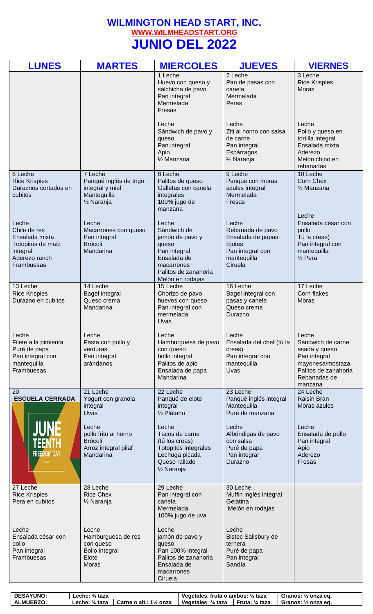## **WILMINGTON HEAD START, INC. [WWW.WILMHEADSTART.ORG](http://www.wilmheadstart.org/) JUNIO DEL 2022**

| <b>LUNES</b>                                                                                            | <b>MARTES</b>                                                                                  | <b>MIERCOLES</b>                                                                                                                          | <b>JUEVES</b>                                                                                          | <b>VIERNES</b>                                                                                                                     |
|---------------------------------------------------------------------------------------------------------|------------------------------------------------------------------------------------------------|-------------------------------------------------------------------------------------------------------------------------------------------|--------------------------------------------------------------------------------------------------------|------------------------------------------------------------------------------------------------------------------------------------|
|                                                                                                         |                                                                                                | 1 Leche<br>Huevo con queso y<br>salchicha de pavo<br>Pan integral<br>Mermelada<br>Fresas                                                  | 2 Leche<br>Pan de pasas con<br>canela<br>Mermelada<br>Peras                                            | 3 Leche<br><b>Rice Krispies</b><br>Moras                                                                                           |
|                                                                                                         |                                                                                                | Leche<br>Sándwich de pavo y<br>queso<br>Pan integral<br>Apio<br>1/ <sub>2</sub> Manzana                                                   | Leche<br>Ziti al horno con salsa<br>de carne<br>Pan integral<br>Espárragos<br>1/ <sub>2</sub> Naranja  | Leche<br>Pollo y queso en<br>tortilla integral<br>Ensalada mixta<br>Aderezo<br>Melón chino en<br>rebanadas                         |
| 6 Leche<br><b>Rice Krispies</b><br>Duraznos cortados en<br>cubitos                                      | 7 Leche<br>Panqué inglés de trigo<br>integral y miel<br>Mantequilla<br>1/ <sub>2</sub> Naranja | 8 Leche<br>Palitos de queso<br>Galletas con canela<br>integrales<br>100% jugo de<br>manzana                                               | 9 Leche<br>Panque con moras<br>azules integral<br>Mermelada<br>Fresas                                  | 10 Leche<br>Corn Chex<br>1/ <sub>2</sub> Manzana                                                                                   |
| Leche<br>Chile de res<br>Ensalada mixta<br>Totopitos de maíz<br>integral<br>Aderezo ranch<br>Frambuesas | Leche<br>Macarrones con queso<br>Pan integral<br><b>Brócoli</b><br>Mandarina                   | Leche<br>Sándwich de<br>jamón de pavo y<br>queso<br>Pan integral<br>Ensalada de<br>macarrones<br>Palitos de zanahoria<br>Melón en rodajas | Leche<br>Rebanada de pavo<br>Ensalada de papas<br>Ejotes<br>Pan integral con<br>mantequilla<br>Ciruela | Leche<br>Ensalada césar con<br>pollo<br>Tú la creas)<br>Pan integral con<br>mantequilla<br>$\frac{1}{2}$ Pera                      |
| 13 Leche<br><b>Rice Krispies</b><br>Durazno en cubitos                                                  | 14 Leche<br><b>Bagel integral</b><br>Queso crema<br>Mandarina                                  | 15 Leche<br>Chorizo de pavo<br>huevos con queso<br>Pan integral con<br>mermelada<br>Uvas                                                  | 16 Leche<br>Bagel integral con<br>pasas y canela<br>Queso crema<br>Durazno                             | 17 Leche<br>Corn flakes<br><b>Moras</b>                                                                                            |
| Leche<br>Filete a la pimienta<br>Puré de papa<br>Pan integral con<br>mantequilla<br>Frambuesas          | Leche<br>Pasta con pollo y<br>verduras<br>Pan integral<br>arándanos                            | Leche<br>Hamburguesa de pavo<br>con queso<br>bollo integral<br>Palitos de apio<br>Ensalada de papa<br>Mandarina                           | Leche<br>Ensalada del chef (tú la<br>creas)<br>Pan integral con<br>mantequilla<br>Uvas                 | Leche<br>Sándwich de carne<br>asada y queso<br>Pan integral<br>mayonesa/mostaza<br>Palitos de zanahoria<br>Rebanadas de<br>manzana |
| 20<br><b>ESCUELA CERRADA</b>                                                                            | 21 Leche<br>Yogurt con granola<br>integral<br>Uvas                                             | 22 Leche<br>Panqué de elote<br>integral<br>1/ <sub>2</sub> Plátano                                                                        | 23 Leche<br>Panqué inglés integral<br>Mantequilla<br>Puré de manzana                                   | 24 Leche<br>Raisin Bran<br>Moras azules                                                                                            |
| <b>TEENTH</b><br><b>FREEDOM DAY</b><br>JUNE 19                                                          | Leche<br>pollo frito al horno<br><b>Brócoli</b><br>Arroz integral pilaf<br>Mandarina           | Leche<br>Tacos de carne<br>(tú los creas)<br>Totopitos integrales<br>Lechuga picada<br>Queso rallado<br>1/ <sub>2</sub> Naranja           | Leche<br>Albóndigas de pavo<br>con salsa<br>Puré de papa<br>Pan integral<br>Durazno                    | Leche<br>Ensalada de pollo<br>Pan integral<br>Apio<br>Aderezo<br>Fresas                                                            |
| 27 Leche<br><b>Rice Krispies</b><br>Pera en cubitos                                                     | 28 Leche<br><b>Rice Chex</b><br>1/ <sub>2</sub> Naranja                                        | 29 Leche<br>Pan integral con<br>canela<br>Mermelada<br>100% jugo de uva                                                                   | 30 Leche<br>Muffin inglés integral<br>Gelatina<br>Melón en rodajas                                     |                                                                                                                                    |
| Leche<br>Ensalada césar con<br>pollo<br>Pan integral<br>Frambuesas                                      | Leche<br>Hamburguesa de res<br>con queso<br><b>Bollo integral</b><br>Elote<br>Moras            | Leche<br>jamón de pavo y<br>queso<br>Pan 100% integral<br>Palitos de zanahoria<br>Ensalada de<br>macarrones<br>Ciruela                    | Leche<br><b>Bistec Salisbury de</b><br>ternera<br>Puré de papa<br>Pan integral<br>Sandía               |                                                                                                                                    |

| <b>DESAYUNO:</b> | Leche: $\frac{3}{4}$ taza |                                      | Vegetales, fruta o ambos: $\frac{1}{2}$ taza |                  | Granos: ½ onza eg.                |
|------------------|---------------------------|--------------------------------------|----------------------------------------------|------------------|-----------------------------------|
| <b>ALMUERZO:</b> | ∟eche: ¾ taza             | $1\frac{1}{2}$ onza<br>Carne o alt.: | $\frac{1}{4}$ taza<br><b>Vegetales:</b>      | Fruta:<br>¼ taza | Granos:<br>$\frac{1}{2}$ onza eq. |